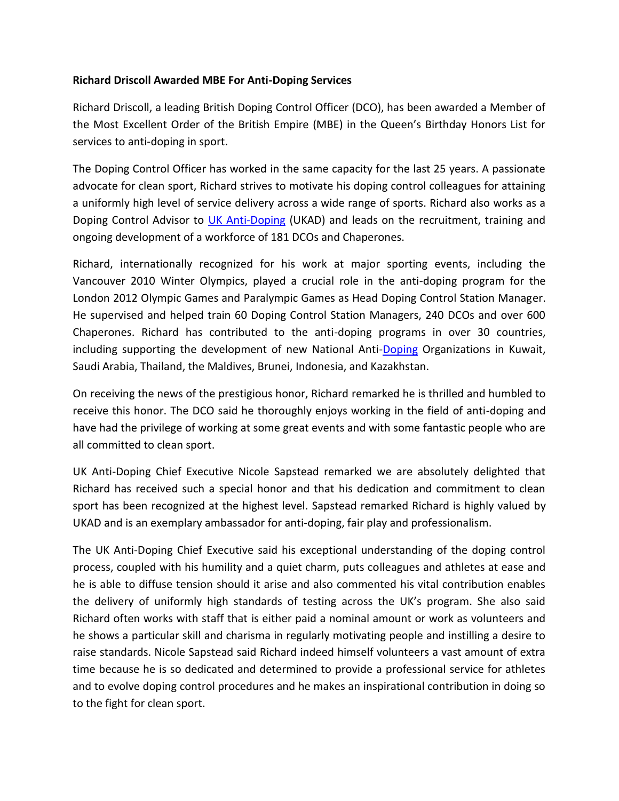## **Richard Driscoll Awarded MBE For Anti-Doping Services**

Richard Driscoll, a leading British Doping Control Officer (DCO), has been awarded a Member of the Most Excellent Order of the British Empire (MBE) in the Queen's Birthday Honors List for services to anti-doping in sport.

The Doping Control Officer has worked in the same capacity for the last 25 years. A passionate advocate for clean sport, Richard strives to motivate his doping control colleagues for attaining a uniformly high level of service delivery across a wide range of sports. Richard also works as a Doping Control Advisor to [UK Anti-Doping](http://www.ukad.org.uk/) (UKAD) and leads on the recruitment, training and ongoing development of a workforce of 181 DCOs and Chaperones.

Richard, internationally recognized for his work at major sporting events, including the Vancouver 2010 Winter Olympics, played a crucial role in the anti-doping program for the London 2012 Olympic Games and Paralympic Games as Head Doping Control Station Manager. He supervised and helped train 60 Doping Control Station Managers, 240 DCOs and over 600 Chaperones. Richard has contributed to the anti-doping programs in over 30 countries, including supporting the development of new National Anti[-Doping](http://www.isteroids.com/blog/jon-jones-pulled-from-ufc-200-for-potential-anti-doping-violation/) Organizations in Kuwait, Saudi Arabia, Thailand, the Maldives, Brunei, Indonesia, and Kazakhstan.

On receiving the news of the prestigious honor, Richard remarked he is thrilled and humbled to receive this honor. The DCO said he thoroughly enjoys working in the field of anti-doping and have had the privilege of working at some great events and with some fantastic people who are all committed to clean sport.

UK Anti-Doping Chief Executive Nicole Sapstead remarked we are absolutely delighted that Richard has received such a special honor and that his dedication and commitment to clean sport has been recognized at the highest level. Sapstead remarked Richard is highly valued by UKAD and is an exemplary ambassador for anti-doping, fair play and professionalism.

The UK Anti-Doping Chief Executive said his exceptional understanding of the doping control process, coupled with his humility and a quiet charm, puts colleagues and athletes at ease and he is able to diffuse tension should it arise and also commented his vital contribution enables the delivery of uniformly high standards of testing across the UK's program. She also said Richard often works with staff that is either paid a nominal amount or work as volunteers and he shows a particular skill and charisma in regularly motivating people and instilling a desire to raise standards. Nicole Sapstead said Richard indeed himself volunteers a vast amount of extra time because he is so dedicated and determined to provide a professional service for athletes and to evolve doping control procedures and he makes an inspirational contribution in doing so to the fight for clean sport.